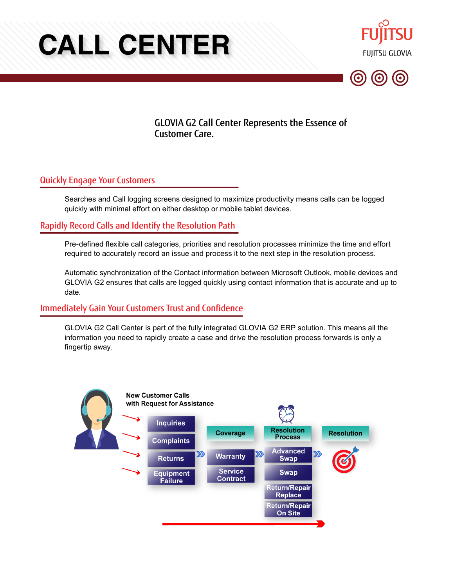# **CALL CENTER**





GLOVIA G2 Call Center Represents the Essence of Customer Care.

# Quickly Engage Your Customers

Searches and Call logging screens designed to maximize productivity means calls can be logged quickly with minimal effort on either desktop or mobile tablet devices.

# Rapidly Record Calls and Identify the Resolution Path

Pre-defined flexible call categories, priorities and resolution processes minimize the time and effort required to accurately record an issue and process it to the next step in the resolution process.

Automatic synchronization of the Contact information between Microsoft Outlook, mobile devices and GLOVIA G2 ensures that calls are logged quickly using contact information that is accurate and up to date.

## Immediately Gain Your Customers Trust and Confidence

GLOVIA G2 Call Center is part of the fully integrated GLOVIA G2 ERP solution. This means all the information you need to rapidly create a case and drive the resolution process forwards is only a fingertip away.